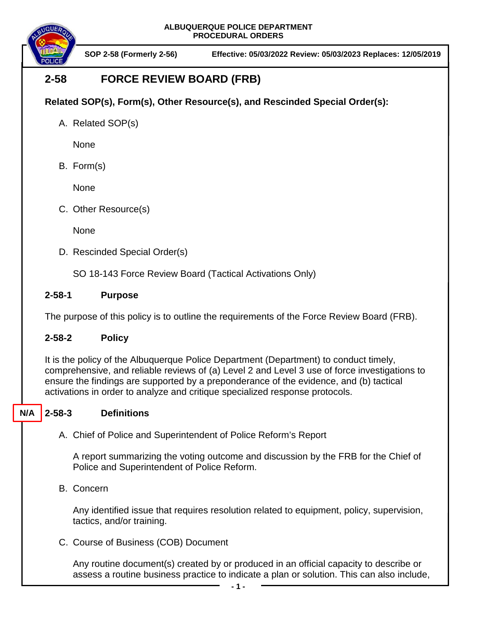

**SO SOP 2-58 (Formerly 2-56) Effective: 05/03/2022 Review: 05/03/2023 Replaces: 12/05/2019**

# **2-58 FORCE REVIEW BOARD (FRB)**

## **Related SOP(s), Form(s), Other Resource(s), and Rescinded Special Order(s):**

A. Related SOP(s)

None

B. Form(s)

None

C. Other Resource(s)

**None** 

D. Rescinded Special Order(s)

SO 18-143 Force Review Board (Tactical Activations Only)

## **2-58-1 Purpose**

The purpose of this policy is to outline the requirements of the Force Review Board (FRB).

## **2-58-2 Policy**

It is the policy of the Albuquerque Police Department (Department) to conduct timely, comprehensive, and reliable reviews of (a) Level 2 and Level 3 use of force investigations to ensure the findings are supported by a preponderance of the evidence, and (b) tactical activations in order to analyze and critique specialized response protocols.

#### **2-58-3 Definitions N/A**

A. Chief of Police and Superintendent of Police Reform's Report

A report summarizing the voting outcome and discussion by the FRB for the Chief of Police and Superintendent of Police Reform.

B. Concern

Any identified issue that requires resolution related to equipment, policy, supervision, tactics, and/or training.

C. Course of Business (COB) Document

Any routine document(s) created by or produced in an official capacity to describe or assess a routine business practice to indicate a plan or solution. This can also include,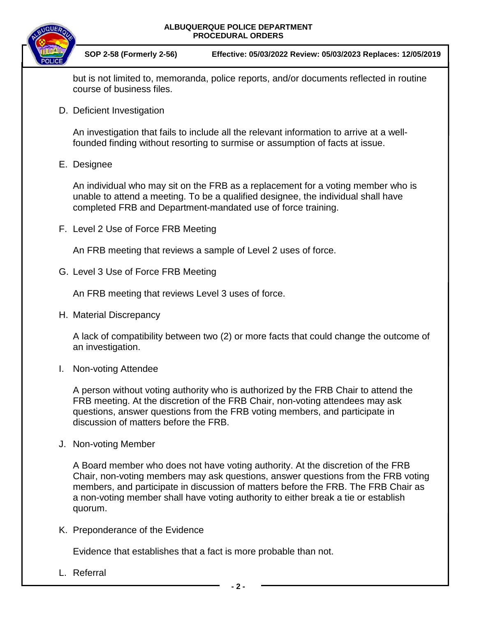

**SO SOP 2-58 (Formerly 2-56) Effective: 05/03/2022 Review: 05/03/2023 Replaces: 12/05/2019**

but is not limited to, memoranda, police reports, and/or documents reflected in routine course of business files.

D. Deficient Investigation

An investigation that fails to include all the relevant information to arrive at a wellfounded finding without resorting to surmise or assumption of facts at issue.

E. Designee

An individual who may sit on the FRB as a replacement for a voting member who is unable to attend a meeting. To be a qualified designee, the individual shall have completed FRB and Department-mandated use of force training.

F. Level 2 Use of Force FRB Meeting

An FRB meeting that reviews a sample of Level 2 uses of force.

G. Level 3 Use of Force FRB Meeting

An FRB meeting that reviews Level 3 uses of force.

H. Material Discrepancy

A lack of compatibility between two (2) or more facts that could change the outcome of an investigation.

I. Non-voting Attendee

A person without voting authority who is authorized by the FRB Chair to attend the FRB meeting. At the discretion of the FRB Chair, non-voting attendees may ask questions, answer questions from the FRB voting members, and participate in discussion of matters before the FRB.

J. Non-voting Member

A Board member who does not have voting authority. At the discretion of the FRB Chair, non-voting members may ask questions, answer questions from the FRB voting members, and participate in discussion of matters before the FRB. The FRB Chair as a non-voting member shall have voting authority to either break a tie or establish quorum.

K. Preponderance of the Evidence

Evidence that establishes that a fact is more probable than not.

L. Referral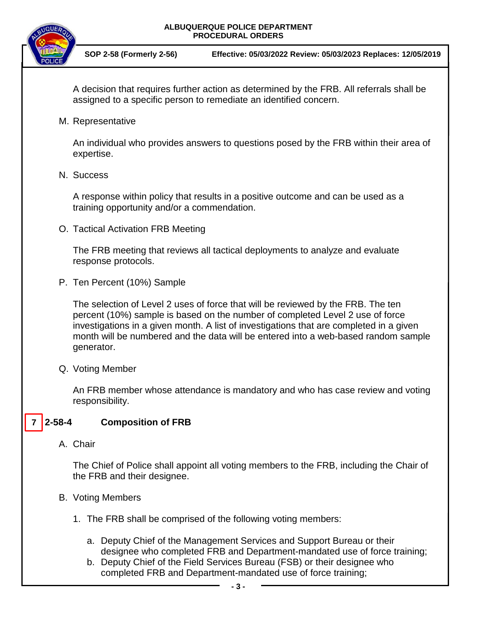

**SO SOP 2-58 (Formerly 2-56) Effective: 05/03/2022 Review: 05/03/2023 Replaces: 12/05/2019**

A decision that requires further action as determined by the FRB. All referrals shall be assigned to a specific person to remediate an identified concern.

M. Representative

An individual who provides answers to questions posed by the FRB within their area of expertise.

N. Success

A response within policy that results in a positive outcome and can be used as a training opportunity and/or a commendation.

O. Tactical Activation FRB Meeting

The FRB meeting that reviews all tactical deployments to analyze and evaluate response protocols.

P. Ten Percent (10%) Sample

The selection of Level 2 uses of force that will be reviewed by the FRB. The ten percent (10%) sample is based on the number of completed Level 2 use of force investigations in a given month. A list of investigations that are completed in a given month will be numbered and the data will be entered into a web-based random sample generator.

Q. Voting Member

An FRB member whose attendance is mandatory and who has case review and voting responsibility.

#### **2-58-4 Composition of FRB 7**

A. Chair

The Chief of Police shall appoint all voting members to the FRB, including the Chair of the FRB and their designee.

- B. Voting Members
	- 1. The FRB shall be comprised of the following voting members:
		- a. Deputy Chief of the Management Services and Support Bureau or their designee who completed FRB and Department-mandated use of force training;
		- b. Deputy Chief of the Field Services Bureau (FSB) or their designee who completed FRB and Department-mandated use of force training;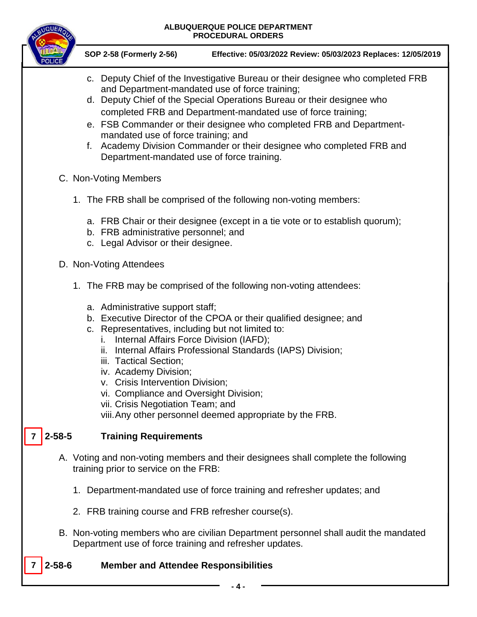

**SO SOP 2-58 (Formerly 2-56) Effective: 05/03/2022 Review: 05/03/2023 Replaces: 12/05/2019**

- c. Deputy Chief of the Investigative Bureau or their designee who completed FRB and Department-mandated use of force training;
- d. Deputy Chief of the Special Operations Bureau or their designee who completed FRB and Department-mandated use of force training;
- e. FSB Commander or their designee who completed FRB and Departmentmandated use of force training; and
- f. Academy Division Commander or their designee who completed FRB and Department-mandated use of force training.
- C. Non-Voting Members
	- 1. The FRB shall be comprised of the following non-voting members:
		- a. FRB Chair or their designee (except in a tie vote or to establish quorum);
		- b. FRB administrative personnel; and
		- c. Legal Advisor or their designee.
- D. Non-Voting Attendees
	- 1. The FRB may be comprised of the following non-voting attendees:
		- a. Administrative support staff;
		- b. Executive Director of the CPOA or their qualified designee; and
		- c. Representatives, including but not limited to:
			- i. Internal Affairs Force Division (IAFD);
			- ii. Internal Affairs Professional Standards (IAPS) Division;
			- iii. Tactical Section;
			- iv. Academy Division;
			- v. Crisis Intervention Division;
			- vi. Compliance and Oversight Division;
			- vii. Crisis Negotiation Team; and

viii.Any other personnel deemed appropriate by the FRB.

#### *2* Training Requirements  $7 \mid 2 - 58 - 5$

**7**

- A. Voting and non-voting members and their designees shall complete the following training prior to service on the FRB:
	- 1. Department-mandated use of force training and refresher updates; and
	- 2. FRB training course and FRB refresher course(s).
- B. Non-voting members who are civilian Department personnel shall audit the mandated Department use of force training and refresher updates.

## **2-58-6 Member and Attendee Responsibilities**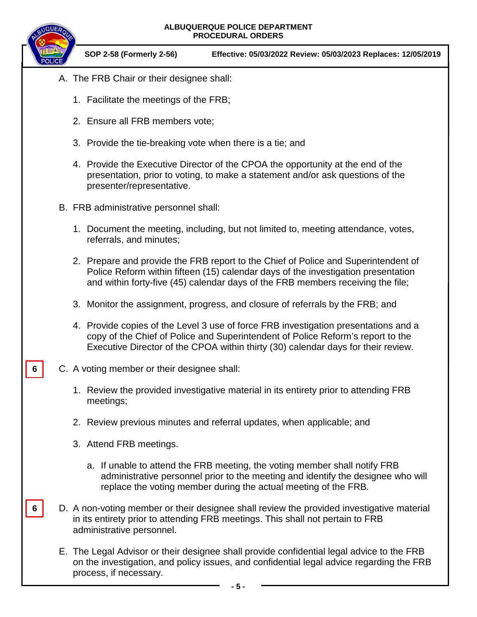

**6**

**6**

**SO SOP 2-58 (Formerly 2-56) Effective: 05/03/2022 Review: 05/03/2023 Replaces: 12/05/2019**

- A. The FRB Chair or their designee shall:
	- 1. Facilitate the meetings of the FRB;
	- 2. Ensure all FRB members vote;
	- 3. Provide the tie-breaking vote when there is a tie; and
	- 4. Provide the Executive Director of the CPOA the opportunity at the end of the presentation, prior to voting, to make a statement and/or ask questions of the presenter/representative.
- B. FRB administrative personnel shall:
	- 1. Document the meeting, including, but not limited to, meeting attendance, votes, referrals, and minutes;
	- 2. Prepare and provide the FRB report to the Chief of Police and Superintendent of Police Reform within fifteen (15) calendar days of the investigation presentation and within forty-five (45) calendar days of the FRB members receiving the file;
	- 3. Monitor the assignment, progress, and closure of referrals by the FRB; and
	- 4. Provide copies of the Level 3 use of force FRB investigation presentations and a copy of the Chief of Police and Superintendent of Police Reform's report to the Executive Director of the CPOA within thirty (30) calendar days for their review.
- C. A voting member or their designee shall:
	- 1. Review the provided investigative material in its entirety prior to attending FRB meetings;
	- 2. Review previous minutes and referral updates, when applicable; and
	- 3. Attend FRB meetings.
		- a. If unable to attend the FRB meeting, the voting member shall notify FRB administrative personnel prior to the meeting and identify the designee who will replace the voting member during the actual meeting of the FRB.
- D. A non-voting member or their designee shall review the provided investigative material in its entirety prior to attending FRB meetings. This shall not pertain to FRB administrative personnel.
	- E. The Legal Advisor or their designee shall provide confidential legal advice to the FRB on the investigation, and policy issues, and confidential legal advice regarding the FRB process, if necessary.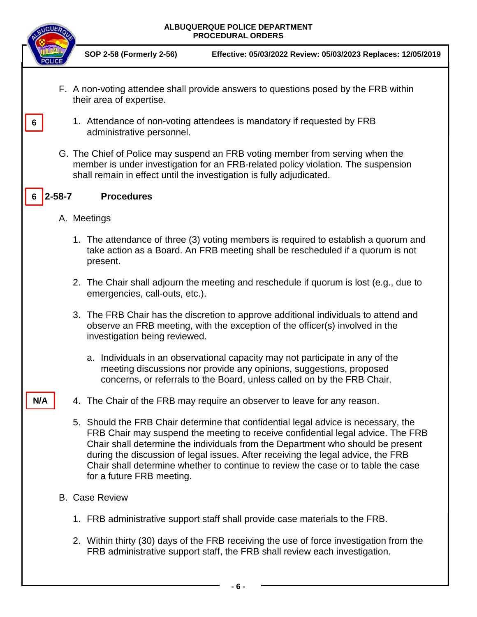|              | ALBUQUERQUE POLICE DEPARTMENT<br><b>PROCEDURAL ORDERS</b>                                                                                                                                                                                                                                                                                                                                                                                                      |
|--------------|----------------------------------------------------------------------------------------------------------------------------------------------------------------------------------------------------------------------------------------------------------------------------------------------------------------------------------------------------------------------------------------------------------------------------------------------------------------|
|              | SOP 2-58 (Formerly 2-56)<br>Effective: 05/03/2022 Review: 05/03/2023 Replaces: 12/05/2019                                                                                                                                                                                                                                                                                                                                                                      |
|              | F. A non-voting attendee shall provide answers to questions posed by the FRB within<br>their area of expertise.                                                                                                                                                                                                                                                                                                                                                |
| 6            | 1. Attendance of non-voting attendees is mandatory if requested by FRB<br>administrative personnel.                                                                                                                                                                                                                                                                                                                                                            |
|              | G. The Chief of Police may suspend an FRB voting member from serving when the<br>member is under investigation for an FRB-related policy violation. The suspension<br>shall remain in effect until the investigation is fully adjudicated.                                                                                                                                                                                                                     |
| $2 - 58 - 7$ | <b>Procedures</b>                                                                                                                                                                                                                                                                                                                                                                                                                                              |
|              | A. Meetings                                                                                                                                                                                                                                                                                                                                                                                                                                                    |
|              | 1. The attendance of three (3) voting members is required to establish a quorum and<br>take action as a Board. An FRB meeting shall be rescheduled if a quorum is not<br>present.                                                                                                                                                                                                                                                                              |
|              | 2. The Chair shall adjourn the meeting and reschedule if quorum is lost (e.g., due to<br>emergencies, call-outs, etc.).                                                                                                                                                                                                                                                                                                                                        |
|              | 3. The FRB Chair has the discretion to approve additional individuals to attend and<br>observe an FRB meeting, with the exception of the officer(s) involved in the<br>investigation being reviewed.                                                                                                                                                                                                                                                           |
|              | a. Individuals in an observational capacity may not participate in any of the<br>meeting discussions nor provide any opinions, suggestions, proposed<br>concerns, or referrals to the Board, unless called on by the FRB Chair.                                                                                                                                                                                                                                |
| N/A          | 4. The Chair of the FRB may require an observer to leave for any reason.                                                                                                                                                                                                                                                                                                                                                                                       |
|              | 5. Should the FRB Chair determine that confidential legal advice is necessary, the<br>FRB Chair may suspend the meeting to receive confidential legal advice. The FRB<br>Chair shall determine the individuals from the Department who should be present<br>during the discussion of legal issues. After receiving the legal advice, the FRB<br>Chair shall determine whether to continue to review the case or to table the case<br>for a future FRB meeting. |
|              | <b>B.</b> Case Review                                                                                                                                                                                                                                                                                                                                                                                                                                          |
|              | 1. FRB administrative support staff shall provide case materials to the FRB.                                                                                                                                                                                                                                                                                                                                                                                   |
|              | 2. Within thirty (30) days of the FRB receiving the use of force investigation from the<br>FRB administrative support staff, the FRB shall review each investigation.                                                                                                                                                                                                                                                                                          |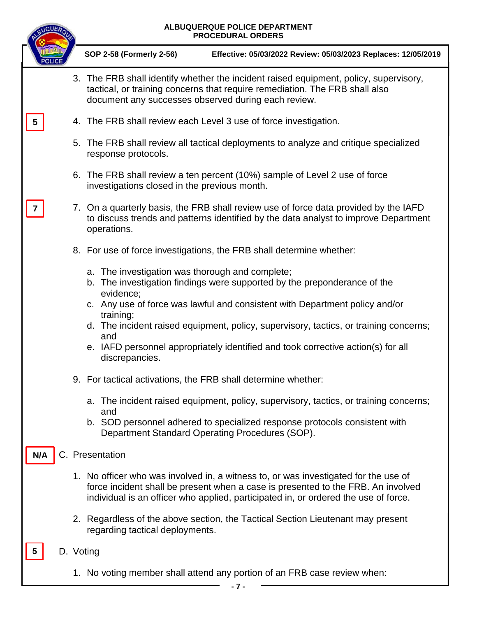| <b>MQUEA</b> |  | ALBUQUERQUE POLICE DEPARTMENT<br><b>PROCEDURAL ORDERS</b>                                                                                                                                                                                                                                                                                                                                                                                  |  |  |
|--------------|--|--------------------------------------------------------------------------------------------------------------------------------------------------------------------------------------------------------------------------------------------------------------------------------------------------------------------------------------------------------------------------------------------------------------------------------------------|--|--|
|              |  | SOP 2-58 (Formerly 2-56)<br>Effective: 05/03/2022 Review: 05/03/2023 Replaces: 12/05/2019                                                                                                                                                                                                                                                                                                                                                  |  |  |
|              |  | 3. The FRB shall identify whether the incident raised equipment, policy, supervisory,<br>tactical, or training concerns that require remediation. The FRB shall also<br>document any successes observed during each review.                                                                                                                                                                                                                |  |  |
| 5            |  | 4. The FRB shall review each Level 3 use of force investigation.                                                                                                                                                                                                                                                                                                                                                                           |  |  |
|              |  | 5. The FRB shall review all tactical deployments to analyze and critique specialized<br>response protocols.                                                                                                                                                                                                                                                                                                                                |  |  |
|              |  | 6. The FRB shall review a ten percent (10%) sample of Level 2 use of force<br>investigations closed in the previous month.                                                                                                                                                                                                                                                                                                                 |  |  |
|              |  | 7. On a quarterly basis, the FRB shall review use of force data provided by the IAFD<br>to discuss trends and patterns identified by the data analyst to improve Department<br>operations.                                                                                                                                                                                                                                                 |  |  |
|              |  | 8. For use of force investigations, the FRB shall determine whether:                                                                                                                                                                                                                                                                                                                                                                       |  |  |
|              |  | a. The investigation was thorough and complete;<br>b. The investigation findings were supported by the preponderance of the<br>evidence;<br>c. Any use of force was lawful and consistent with Department policy and/or<br>training;<br>d. The incident raised equipment, policy, supervisory, tactics, or training concerns;<br>and<br>e. IAFD personnel appropriately identified and took corrective action(s) for all<br>discrepancies. |  |  |
|              |  | 9. For tactical activations, the FRB shall determine whether:                                                                                                                                                                                                                                                                                                                                                                              |  |  |
|              |  | a. The incident raised equipment, policy, supervisory, tactics, or training concerns;<br>and<br>b. SOD personnel adhered to specialized response protocols consistent with<br>Department Standard Operating Procedures (SOP).                                                                                                                                                                                                              |  |  |
| N/A          |  | C. Presentation                                                                                                                                                                                                                                                                                                                                                                                                                            |  |  |
|              |  | 1. No officer who was involved in, a witness to, or was investigated for the use of<br>force incident shall be present when a case is presented to the FRB. An involved<br>individual is an officer who applied, participated in, or ordered the use of force.                                                                                                                                                                             |  |  |
|              |  | 2. Regardless of the above section, the Tactical Section Lieutenant may present<br>regarding tactical deployments.                                                                                                                                                                                                                                                                                                                         |  |  |
|              |  | D. Voting                                                                                                                                                                                                                                                                                                                                                                                                                                  |  |  |
|              |  | 1. No voting member shall attend any portion of an FRB case review when:                                                                                                                                                                                                                                                                                                                                                                   |  |  |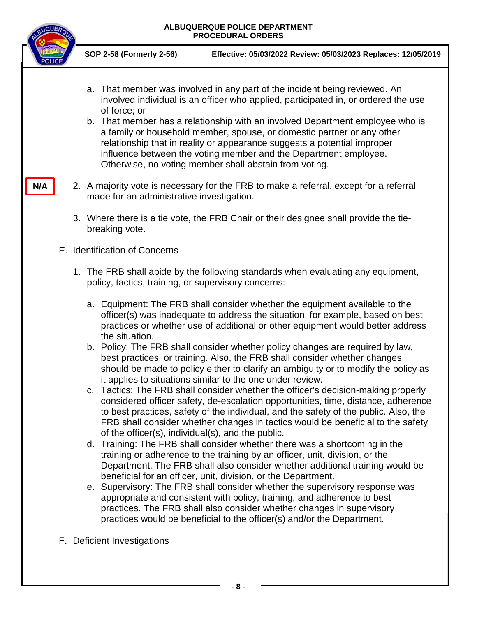

- a. That member was involved in any part of the incident being reviewed. An involved individual is an officer who applied, participated in, or ordered the use of force; or
- b. That member has a relationship with an involved Department employee who is a family or household member, spouse, or domestic partner or any other relationship that in reality or appearance suggests a potential improper influence between the voting member and the Department employee. Otherwise, no voting member shall abstain from voting.
- 2. A majority vote is necessary for the FRB to make a referral, except for a referral made for an administrative investigation.
	- 3. Where there is a tie vote, the FRB Chair or their designee shall provide the tiebreaking vote.
- E. Identification of Concerns
	- 1. The FRB shall abide by the following standards when evaluating any equipment, policy, tactics, training, or supervisory concerns:
		- a. Equipment: The FRB shall consider whether the equipment available to the officer(s) was inadequate to address the situation, for example, based on best practices or whether use of additional or other equipment would better address the situation.
		- b. Policy: The FRB shall consider whether policy changes are required by law, best practices, or training. Also, the FRB shall consider whether changes should be made to policy either to clarify an ambiguity or to modify the policy as it applies to situations similar to the one under review.
		- c. Tactics: The FRB shall consider whether the officer's decision-making properly considered officer safety, de-escalation opportunities, time, distance, adherence to best practices, safety of the individual, and the safety of the public. Also, the FRB shall consider whether changes in tactics would be beneficial to the safety of the officer(s), individual(s), and the public.
		- d. Training: The FRB shall consider whether there was a shortcoming in the training or adherence to the training by an officer, unit, division, or the Department. The FRB shall also consider whether additional training would be beneficial for an officer, unit, division, or the Department.
		- e. Supervisory: The FRB shall consider whether the supervisory response was appropriate and consistent with policy, training, and adherence to best practices. The FRB shall also consider whether changes in supervisory practices would be beneficial to the officer(s) and/or the Department.
- F. Deficient Investigations

**N/A**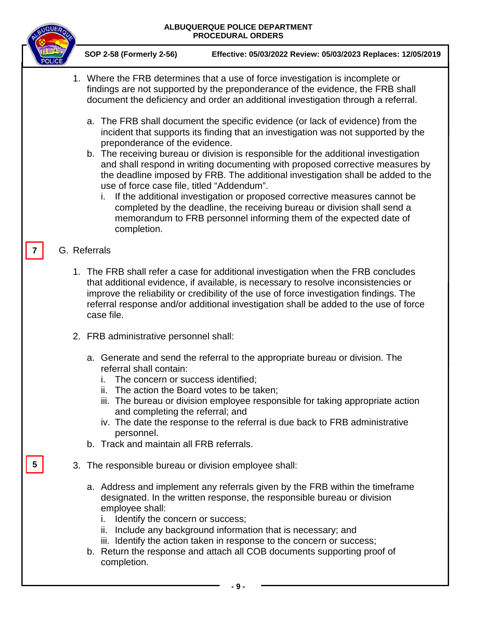

**SO SOP 2-58 (Formerly 2-56) Effective: 05/03/2022 Review: 05/03/2023 Replaces: 12/05/2019**

- 1. Where the FRB determines that a use of force investigation is incomplete or findings are not supported by the preponderance of the evidence, the FRB shall document the deficiency and order an additional investigation through a referral.
	- a. The FRB shall document the specific evidence (or lack of evidence) from the incident that supports its finding that an investigation was not supported by the preponderance of the evidence.
	- b. The receiving bureau or division is responsible for the additional investigation and shall respond in writing documenting with proposed corrective measures by the deadline imposed by FRB. The additional investigation shall be added to the use of force case file, titled "Addendum".
		- i. If the additional investigation or proposed corrective measures cannot be completed by the deadline, the receiving bureau or division shall send a memorandum to FRB personnel informing them of the expected date of completion.

## G. Referrals

**7**

**5**

- 1. The FRB shall refer a case for additional investigation when the FRB concludes that additional evidence, if available, is necessary to resolve inconsistencies or improve the reliability or credibility of the use of force investigation findings. The referral response and/or additional investigation shall be added to the use of force case file.
- 2. FRB administrative personnel shall:
	- a. Generate and send the referral to the appropriate bureau or division. The referral shall contain:
		- i. The concern or success identified;
		- ii. The action the Board votes to be taken;
		- iii. The bureau or division employee responsible for taking appropriate action and completing the referral; and
		- iv. The date the response to the referral is due back to FRB administrative personnel.
	- b. Track and maintain all FRB referrals.
- 3. The responsible bureau or division employee shall:
	- a. Address and implement any referrals given by the FRB within the timeframe designated. In the written response, the responsible bureau or division employee shall:
		- i. Identify the concern or success;
		- ii. Include any background information that is necessary; and
		- iii. Identify the action taken in response to the concern or success;
	- b. Return the response and attach all COB documents supporting proof of completion.